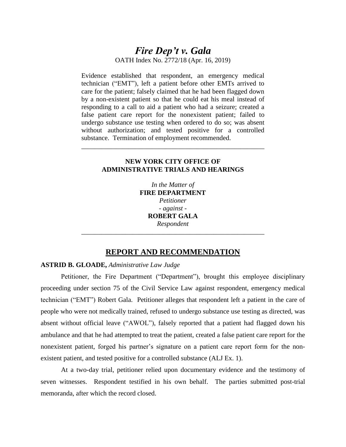# *Fire Dep't v. Gala* OATH Index No. 2772/18 (Apr. 16, 2019)

Evidence established that respondent, an emergency medical technician ("EMT"), left a patient before other EMTs arrived to care for the patient; falsely claimed that he had been flagged down by a non-existent patient so that he could eat his meal instead of responding to a call to aid a patient who had a seizure; created a false patient care report for the nonexistent patient; failed to undergo substance use testing when ordered to do so; was absent without authorization; and tested positive for a controlled substance. Termination of employment recommended.

## **NEW YORK CITY OFFICE OF ADMINISTRATIVE TRIALS AND HEARINGS**

\_\_\_\_\_\_\_\_\_\_\_\_\_\_\_\_\_\_\_\_\_\_\_\_\_\_\_\_\_\_\_\_\_\_\_\_\_\_\_\_\_\_\_\_\_\_\_\_\_\_\_\_\_\_

*In the Matter of*  **FIRE DEPARTMENT** *Petitioner - against* - **ROBERT GALA** *Respondent*

## **REPORT AND RECOMMENDATION**

*\_\_\_\_\_\_\_\_\_\_\_\_\_\_\_\_\_\_\_\_\_\_\_\_\_\_\_\_\_\_\_\_\_\_\_\_\_\_\_\_\_\_\_\_\_\_\_\_\_\_\_\_\_\_*

## **ASTRID B. GLOADE,** *Administrative Law Judge*

Petitioner, the Fire Department ("Department"), brought this employee disciplinary proceeding under section 75 of the Civil Service Law against respondent, emergency medical technician ("EMT") Robert Gala. Petitioner alleges that respondent left a patient in the care of people who were not medically trained, refused to undergo substance use testing as directed, was absent without official leave ("AWOL"), falsely reported that a patient had flagged down his ambulance and that he had attempted to treat the patient, created a false patient care report for the nonexistent patient, forged his partner's signature on a patient care report form for the nonexistent patient, and tested positive for a controlled substance (ALJ Ex. 1).

At a two-day trial, petitioner relied upon documentary evidence and the testimony of seven witnesses. Respondent testified in his own behalf. The parties submitted post-trial memoranda, after which the record closed.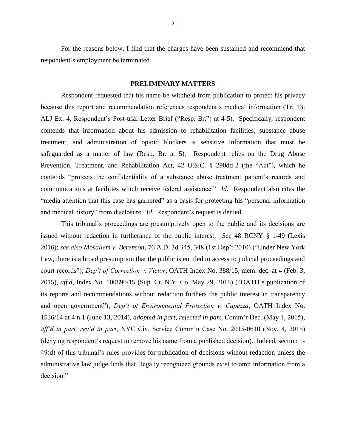For the reasons below, I find that the charges have been sustained and recommend that respondent's employment be terminated.

#### **PRELIMINARY MATTERS**

Respondent requested that his name be withheld from publication to protect his privacy because this report and recommendation references respondent's medical information (Tr. 13; ALJ Ex. 4, Respondent's Post-trial Letter Brief ("Resp. Br.") at 4-5). Specifically, respondent contends that information about his admission to rehabilitation facilities, substance abuse treatment, and administration of opioid blockers is sensitive information that must be safeguarded as a matter of law (Resp. Br. at 5). Respondent relies on the Drug Abuse Prevention, Treatment, and Rehabilitation Act, 42 U.S.C. § 290dd-2 (the "Act"), which he contends "protects the confidentiality of a substance abuse treatment patient's records and communications at facilities which receive federal assistance." *Id*. Respondent also cites the "media attention that this case has garnered" as a basis for protecting his "personal information and medical history" from disclosure. *Id*. Respondent's request is denied.

This tribunal's proceedings are presumptively open to the public and its decisions are issued without redaction in furtherance of the public interest. *See* 48 RCNY § 1-49 (Lexis 2016); *see also Mosallem v. Berenson,* 76 A.D. 3d 345, 348 (1st Dep't 2010) ("Under New York Law, there is a broad presumption that the public is entitled to access to judicial proceedings and court records"); *Dep't of Correction v. Victor*, OATH Index No. 388/15, mem. dec. at 4 (Feb. 3, 2015), *aff'd*, Index No. 100890/15 (Sup. Ct. N.Y. Co. May 29, 2018) ("OATH's publication of its reports and recommendations without redaction furthers the public interest in transparency and open government"); *Dep't of Environmental Protection v. Capezza*, OATH Index No. 1536/14 at 4 n.1 (June 13, 2014), *adopted in part, rejected in part,* Comm'r Dec. (May 1, 2015), *aff'd in part, rev'd in part*, NYC Civ. Service Comm'n Case No. 2015-0610 (Nov. 4, 2015) (denying respondent's request to remove his name from a published decision). Indeed, section 1- 49(d) of this tribunal's rules provides for publication of decisions without redaction unless the administrative law judge finds that "legally recognized grounds exist to omit information from a decision."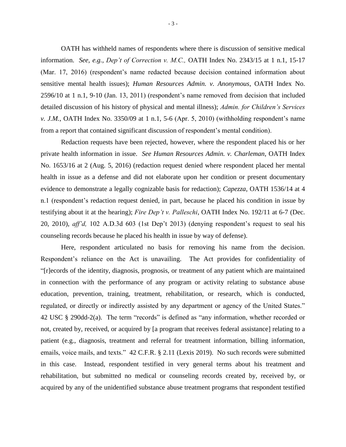OATH has withheld names of respondents where there is discussion of sensitive medical information. *See, e.g., Dep't of Correction v. M.C.,* OATH Index No. 2343/15 at 1 n.1, 15-17 (Mar. 17, 2016) (respondent's name redacted because decision contained information about sensitive mental health issues); *Human Resources Admin. v. Anonymous*, OATH Index No. 2596/10 at 1 n.1, 9-10 (Jan. 13, 2011) (respondent's name removed from decision that included detailed discussion of his history of physical and mental illness); *Admin. for Children's Services v. J.M.*, OATH Index No. 3350/09 at 1 n.1, 5-6 (Apr. 5, 2010) (withholding respondent's name from a report that contained significant discussion of respondent's mental condition).

Redaction requests have been rejected, however, where the respondent placed his or her private health information in issue. *See Human Resources Admin. v. Charleman*, OATH Index No. 1653/16 at 2 (Aug. 5, 2016) (redaction request denied where respondent placed her mental health in issue as a defense and did not elaborate upon her condition or present documentary evidence to demonstrate a legally cognizable basis for redaction); *Capezza*, OATH 1536/14 at 4 n.1 (respondent's redaction request denied, in part, because he placed his condition in issue by testifying about it at the hearing); *Fire Dep't v. Palleschi*, OATH Index No. 192/11 at 6-7 (Dec. 20, 2010), *aff'd,* 102 A.D.3d 603 (1st Dep't 2013) (denying respondent's request to seal his counseling records because he placed his health in issue by way of defense).

Here, respondent articulated no basis for removing his name from the decision. Respondent's reliance on the Act is unavailing. The Act provides for confidentiality of "[r]ecords of the identity, diagnosis, prognosis, or treatment of any patient which are maintained in connection with the performance of any program or activity relating to substance abuse education, prevention, training, treatment, rehabilitation, or research, which is conducted, regulated, or directly or indirectly assisted by any department or agency of the United States." 42 USC § 290dd-2(a). The term "records" is defined as "any information, whether recorded or not, created by, received, or acquired by [a program that receives federal assistance] relating to a patient (e.g., diagnosis, treatment and referral for treatment information, billing information, emails, voice mails, and texts." 42 C.F.R. § 2.11 (Lexis 2019). No such records were submitted in this case. Instead, respondent testified in very general terms about his treatment and rehabilitation, but submitted no medical or counseling records created by, received by, or acquired by any of the unidentified substance abuse treatment programs that respondent testified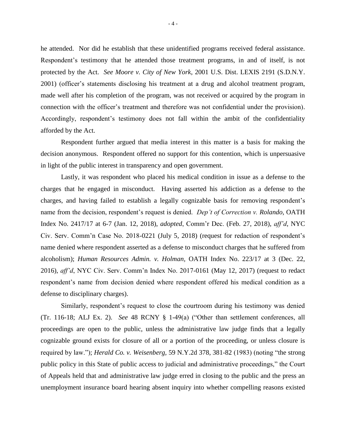he attended. Nor did he establish that these unidentified programs received federal assistance. Respondent's testimony that he attended those treatment programs, in and of itself, is not protected by the Act. *See Moore v. City of New York*, 2001 U.S. Dist. LEXIS 2191 (S.D.N.Y. 2001) (officer's statements disclosing his treatment at a drug and alcohol treatment program, made well after his completion of the program, was not received or acquired by the program in connection with the officer's treatment and therefore was not confidential under the provision). Accordingly, respondent's testimony does not fall within the ambit of the confidentiality afforded by the Act.

Respondent further argued that media interest in this matter is a basis for making the decision anonymous. Respondent offered no support for this contention, which is unpersuasive in light of the public interest in transparency and open government.

Lastly, it was respondent who placed his medical condition in issue as a defense to the charges that he engaged in misconduct. Having asserted his addiction as a defense to the charges, and having failed to establish a legally cognizable basis for removing respondent's name from the decision, respondent's request is denied. *Dep't of Correction v. Rolando,* OATH Index No. 2417/17 at 6-7 (Jan. 12, 2018), *adopted*, Comm'r Dec. (Feb. 27, 2018), *aff'd*, NYC Civ. Serv. Comm'n Case No. 2018-0221 (July 5, 2018) (request for redaction of respondent's name denied where respondent asserted as a defense to misconduct charges that he suffered from alcoholism); *Human Resources Admin. v. Holman,* OATH Index No. 223/17 at 3 (Dec. 22, 2016), *aff'd*, NYC Civ. Serv. Comm'n Index No. 2017-0161 (May 12, 2017) (request to redact respondent's name from decision denied where respondent offered his medical condition as a defense to disciplinary charges).

Similarly, respondent's request to close the courtroom during his testimony was denied (Tr. 116-18; ALJ Ex. 2). *See* 48 RCNY § 1-49(a) ("Other than settlement conferences, all proceedings are open to the public, unless the administrative law judge finds that a legally cognizable ground exists for closure of all or a portion of the proceeding, or unless closure is required by law."); *Herald Co. v. Weisenberg,* 59 N.Y.2d 378, 381-82 (1983) (noting "the strong public policy in this State of public access to judicial and administrative proceedings," the Court of Appeals held that and administrative law judge erred in closing to the public and the press an unemployment insurance board hearing absent inquiry into whether compelling reasons existed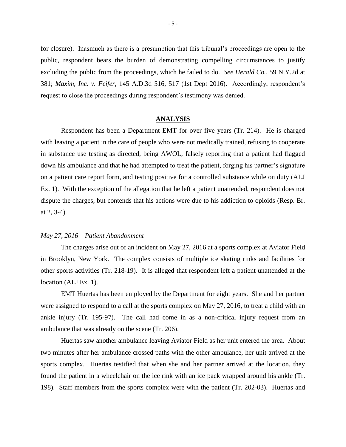for closure). Inasmuch as there is a presumption that this tribunal's proceedings are open to the public, respondent bears the burden of demonstrating compelling circumstances to justify excluding the public from the proceedings, which he failed to do. *See Herald Co.*, 59 N.Y.2d at 381; *Maxim, Inc. v. Feifer*, 145 A.D.3d 516, 517 (1st Dept 2016). Accordingly, respondent's request to close the proceedings during respondent's testimony was denied.

## **ANALYSIS**

Respondent has been a Department EMT for over five years (Tr. 214). He is charged with leaving a patient in the care of people who were not medically trained, refusing to cooperate in substance use testing as directed, being AWOL, falsely reporting that a patient had flagged down his ambulance and that he had attempted to treat the patient, forging his partner's signature on a patient care report form, and testing positive for a controlled substance while on duty (ALJ Ex. 1). With the exception of the allegation that he left a patient unattended, respondent does not dispute the charges, but contends that his actions were due to his addiction to opioids (Resp. Br. at 2, 3-4).

#### *May 27, 2016 – Patient Abandonment*

The charges arise out of an incident on May 27, 2016 at a sports complex at Aviator Field in Brooklyn, New York. The complex consists of multiple ice skating rinks and facilities for other sports activities (Tr. 218-19). It is alleged that respondent left a patient unattended at the location (ALJ Ex. 1).

EMT Huertas has been employed by the Department for eight years. She and her partner were assigned to respond to a call at the sports complex on May 27, 2016, to treat a child with an ankle injury (Tr. 195-97). The call had come in as a non-critical injury request from an ambulance that was already on the scene (Tr. 206).

Huertas saw another ambulance leaving Aviator Field as her unit entered the area. About two minutes after her ambulance crossed paths with the other ambulance, her unit arrived at the sports complex. Huertas testified that when she and her partner arrived at the location, they found the patient in a wheelchair on the ice rink with an ice pack wrapped around his ankle (Tr. 198). Staff members from the sports complex were with the patient (Tr. 202-03). Huertas and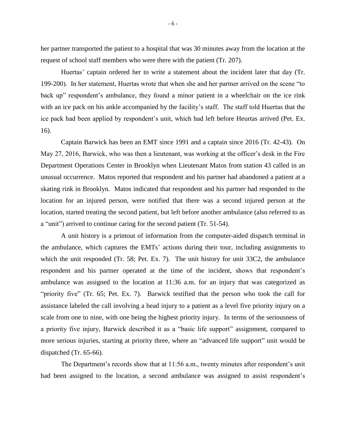her partner transported the patient to a hospital that was 30 minutes away from the location at the request of school staff members who were there with the patient (Tr. 207).

Huertas' captain ordered her to write a statement about the incident later that day (Tr. 199-200). In her statement, Huertas wrote that when she and her partner arrived on the scene "to back up" respondent's ambulance, they found a minor patient in a wheelchair on the ice rink with an ice pack on his ankle accompanied by the facility's staff. The staff told Huertas that the ice pack had been applied by respondent's unit, which had left before Heurtas arrived (Pet. Ex. 16).

Captain Barwick has been an EMT since 1991 and a captain since 2016 (Tr. 42-43). On May 27, 2016, Barwick, who was then a lieutenant, was working at the officer's desk in the Fire Department Operations Center in Brooklyn when Lieutenant Matos from station 43 called in an unusual occurrence. Matos reported that respondent and his partner had abandoned a patient at a skating rink in Brooklyn. Matos indicated that respondent and his partner had responded to the location for an injured person, were notified that there was a second injured person at the location, started treating the second patient, but left before another ambulance (also referred to as a "unit") arrived to continue caring for the second patient (Tr. 51-54).

A unit history is a printout of information from the computer-aided dispatch terminal in the ambulance, which captures the EMTs' actions during their tour, including assignments to which the unit responded (Tr. 58; Pet. Ex. 7). The unit history for unit 33C2, the ambulance respondent and his partner operated at the time of the incident, shows that respondent's ambulance was assigned to the location at 11:36 a.m. for an injury that was categorized as "priority five" (Tr. 65; Pet. Ex. 7). Barwick testified that the person who took the call for assistance labeled the call involving a head injury to a patient as a level five priority injury on a scale from one to nine, with one being the highest priority injury. In terms of the seriousness of a priority five injury, Barwick described it as a "basic life support" assignment, compared to more serious injuries, starting at priority three, where an "advanced life support" unit would be dispatched (Tr. 65-66).

The Department's records show that at 11:56 a.m., twenty minutes after respondent's unit had been assigned to the location, a second ambulance was assigned to assist respondent's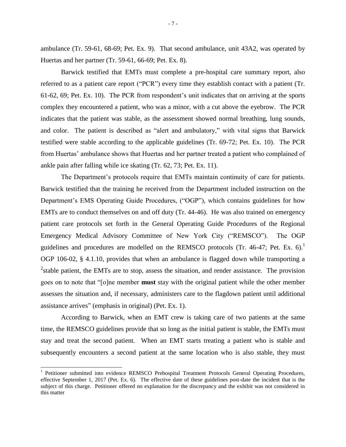ambulance (Tr. 59-61, 68-69; Pet. Ex. 9). That second ambulance, unit 43A2, was operated by Huertas and her partner (Tr. 59-61, 66-69; Pet. Ex. 8).

Barwick testified that EMTs must complete a pre-hospital care summary report, also referred to as a patient care report ("PCR") every time they establish contact with a patient (Tr. 61-62, 69; Pet. Ex. 10). The PCR from respondent's unit indicates that on arriving at the sports complex they encountered a patient, who was a minor, with a cut above the eyebrow. The PCR indicates that the patient was stable, as the assessment showed normal breathing, lung sounds, and color. The patient is described as "alert and ambulatory," with vital signs that Barwick testified were stable according to the applicable guidelines (Tr. 69-72; Pet. Ex. 10). The PCR from Huertas' ambulance shows that Huertas and her partner treated a patient who complained of ankle pain after falling while ice skating (Tr. 62, 73; Pet. Ex. 11).

The Department's protocols require that EMTs maintain continuity of care for patients. Barwick testified that the training he received from the Department included instruction on the Department's EMS Operating Guide Procedures, ("OGP"), which contains guidelines for how EMTs are to conduct themselves on and off duty (Tr. 44-46). He was also trained on emergency patient care protocols set forth in the General Operating Guide Procedures of the Regional Emergency Medical Advisory Committee of New York City ("REMSCO"). The OGP guidelines and procedures are modelled on the REMSCO protocols (Tr. 46-47; Pet. Ex. 6). OGP 106-02, § 4.1.10, provides that when an ambulance is flagged down while transporting a  $2$ stable patient, the EMTs are to stop, assess the situation, and render assistance. The provision goes on to note that "[o]ne member **must** stay with the original patient while the other member assesses the situation and, if necessary, administers care to the flagdown patient until additional assistance arrives" (emphasis in original) (Pet. Ex. 1).

According to Barwick, when an EMT crew is taking care of two patients at the same time, the REMSCO guidelines provide that so long as the initial patient is stable, the EMTs must stay and treat the second patient. When an EMT starts treating a patient who is stable and subsequently encounters a second patient at the same location who is also stable, they must

 $\overline{\phantom{a}}$ 

<sup>&</sup>lt;sup>1</sup> Petitioner submitted into evidence REMSCO Prehospital Treatment Protocols General Operating Procedures, effective September 1, 2017 (Pet. Ex. 6). The effective date of these guidelines post-date the incident that is the subject of this charge. Petitioner offered no explanation for the discrepancy and the exhibit was not considered in this matter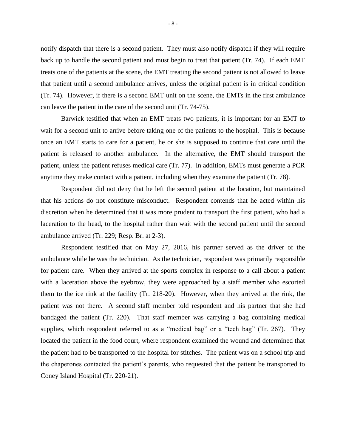notify dispatch that there is a second patient. They must also notify dispatch if they will require back up to handle the second patient and must begin to treat that patient (Tr. 74). If each EMT treats one of the patients at the scene, the EMT treating the second patient is not allowed to leave that patient until a second ambulance arrives, unless the original patient is in critical condition (Tr. 74). However, if there is a second EMT unit on the scene, the EMTs in the first ambulance can leave the patient in the care of the second unit (Tr. 74-75).

Barwick testified that when an EMT treats two patients, it is important for an EMT to wait for a second unit to arrive before taking one of the patients to the hospital. This is because once an EMT starts to care for a patient, he or she is supposed to continue that care until the patient is released to another ambulance. In the alternative, the EMT should transport the patient, unless the patient refuses medical care (Tr. 77). In addition, EMTs must generate a PCR anytime they make contact with a patient, including when they examine the patient (Tr. 78).

Respondent did not deny that he left the second patient at the location, but maintained that his actions do not constitute misconduct. Respondent contends that he acted within his discretion when he determined that it was more prudent to transport the first patient, who had a laceration to the head, to the hospital rather than wait with the second patient until the second ambulance arrived (Tr. 229; Resp. Br. at 2-3).

Respondent testified that on May 27, 2016, his partner served as the driver of the ambulance while he was the technician. As the technician, respondent was primarily responsible for patient care. When they arrived at the sports complex in response to a call about a patient with a laceration above the eyebrow, they were approached by a staff member who escorted them to the ice rink at the facility (Tr. 218-20). However, when they arrived at the rink, the patient was not there. A second staff member told respondent and his partner that she had bandaged the patient (Tr. 220). That staff member was carrying a bag containing medical supplies, which respondent referred to as a "medical bag" or a "tech bag" (Tr. 267). They located the patient in the food court, where respondent examined the wound and determined that the patient had to be transported to the hospital for stitches. The patient was on a school trip and the chaperones contacted the patient's parents, who requested that the patient be transported to Coney Island Hospital (Tr. 220-21).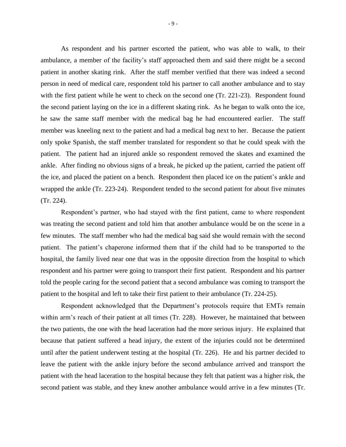As respondent and his partner escorted the patient, who was able to walk, to their ambulance, a member of the facility's staff approached them and said there might be a second patient in another skating rink. After the staff member verified that there was indeed a second person in need of medical care, respondent told his partner to call another ambulance and to stay with the first patient while he went to check on the second one (Tr. 221-23). Respondent found the second patient laying on the ice in a different skating rink. As he began to walk onto the ice, he saw the same staff member with the medical bag he had encountered earlier. The staff member was kneeling next to the patient and had a medical bag next to her. Because the patient only spoke Spanish, the staff member translated for respondent so that he could speak with the patient. The patient had an injured ankle so respondent removed the skates and examined the ankle. After finding no obvious signs of a break, he picked up the patient, carried the patient off the ice, and placed the patient on a bench. Respondent then placed ice on the patient's ankle and wrapped the ankle (Tr. 223-24). Respondent tended to the second patient for about five minutes (Tr. 224).

Respondent's partner, who had stayed with the first patient, came to where respondent was treating the second patient and told him that another ambulance would be on the scene in a few minutes. The staff member who had the medical bag said she would remain with the second patient. The patient's chaperone informed them that if the child had to be transported to the hospital, the family lived near one that was in the opposite direction from the hospital to which respondent and his partner were going to transport their first patient. Respondent and his partner told the people caring for the second patient that a second ambulance was coming to transport the patient to the hospital and left to take their first patient to their ambulance (Tr. 224-25).

Respondent acknowledged that the Department's protocols require that EMTs remain within arm's reach of their patient at all times (Tr. 228). However, he maintained that between the two patients, the one with the head laceration had the more serious injury. He explained that because that patient suffered a head injury, the extent of the injuries could not be determined until after the patient underwent testing at the hospital (Tr. 226). He and his partner decided to leave the patient with the ankle injury before the second ambulance arrived and transport the patient with the head laceration to the hospital because they felt that patient was a higher risk, the second patient was stable, and they knew another ambulance would arrive in a few minutes (Tr.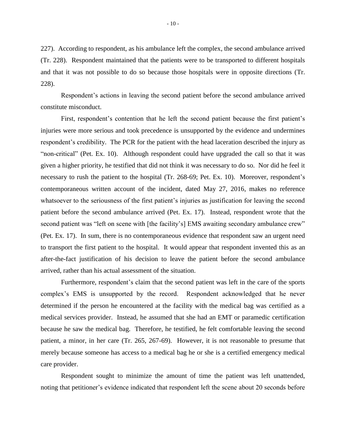227). According to respondent, as his ambulance left the complex, the second ambulance arrived (Tr. 228). Respondent maintained that the patients were to be transported to different hospitals and that it was not possible to do so because those hospitals were in opposite directions (Tr. 228).

Respondent's actions in leaving the second patient before the second ambulance arrived constitute misconduct.

First, respondent's contention that he left the second patient because the first patient's injuries were more serious and took precedence is unsupported by the evidence and undermines respondent's credibility. The PCR for the patient with the head laceration described the injury as "non-critical" (Pet. Ex. 10). Although respondent could have upgraded the call so that it was given a higher priority, he testified that did not think it was necessary to do so. Nor did he feel it necessary to rush the patient to the hospital (Tr. 268-69; Pet. Ex. 10). Moreover, respondent's contemporaneous written account of the incident, dated May 27, 2016, makes no reference whatsoever to the seriousness of the first patient's injuries as justification for leaving the second patient before the second ambulance arrived (Pet. Ex. 17). Instead, respondent wrote that the second patient was "left on scene with [the facility's] EMS awaiting secondary ambulance crew" (Pet. Ex. 17). In sum, there is no contemporaneous evidence that respondent saw an urgent need to transport the first patient to the hospital. It would appear that respondent invented this as an after-the-fact justification of his decision to leave the patient before the second ambulance arrived, rather than his actual assessment of the situation.

Furthermore, respondent's claim that the second patient was left in the care of the sports complex's EMS is unsupported by the record. Respondent acknowledged that he never determined if the person he encountered at the facility with the medical bag was certified as a medical services provider. Instead, he assumed that she had an EMT or paramedic certification because he saw the medical bag. Therefore, he testified, he felt comfortable leaving the second patient, a minor, in her care (Tr. 265, 267-69). However, it is not reasonable to presume that merely because someone has access to a medical bag he or she is a certified emergency medical care provider.

Respondent sought to minimize the amount of time the patient was left unattended, noting that petitioner's evidence indicated that respondent left the scene about 20 seconds before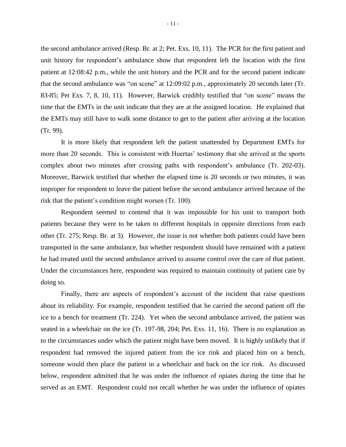the second ambulance arrived (Resp. Br. at 2; Pet. Exs. 10, 11). The PCR for the first patient and unit history for respondent's ambulance show that respondent left the location with the first patient at 12:08:42 p.m., while the unit history and the PCR and for the second patient indicate that the second ambulance was "on scene" at 12:09:02 p.m., approximately 20 seconds later (Tr. 83-85; Pet Exs. 7, 8, 10, 11). However, Barwick credibly testified that "on scene" means the time that the EMTs in the unit indicate that they are at the assigned location. He explained that the EMTs may still have to walk some distance to get to the patient after arriving at the location (Tr. 99).

It is more likely that respondent left the patient unattended by Department EMTs for more than 20 seconds. This is consistent with Huertas' testimony that she arrived at the sports complex about two minutes after crossing paths with respondent's ambulance (Tr. 202-03). Moreover, Barwick testified that whether the elapsed time is 20 seconds or two minutes, it was improper for respondent to leave the patient before the second ambulance arrived because of the risk that the patient's condition might worsen (Tr. 100).

Respondent seemed to contend that it was impossible for his unit to transport both patients because they were to be taken to different hospitals in opposite directions from each other (Tr. 275; Resp. Br. at 3). However, the issue is not whether both patients could have been transported in the same ambulance, but whether respondent should have remained with a patient he had treated until the second ambulance arrived to assume control over the care of that patient. Under the circumstances here, respondent was required to maintain continuity of patient care by doing so.

Finally, there are aspects of respondent's account of the incident that raise questions about its reliability. For example, respondent testified that he carried the second patient off the ice to a bench for treatment (Tr. 224). Yet when the second ambulance arrived, the patient was seated in a wheelchair on the ice (Tr. 197-98, 204; Pet. Exs. 11, 16). There is no explanation as to the circumstances under which the patient might have been moved. It is highly unlikely that if respondent had removed the injured patient from the ice rink and placed him on a bench, someone would then place the patient in a wheelchair and back on the ice rink. As discussed below, respondent admitted that he was under the influence of opiates during the time that he served as an EMT. Respondent could not recall whether he was under the influence of opiates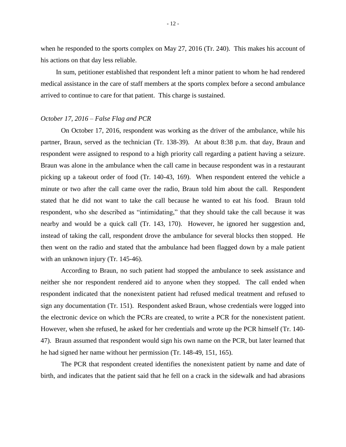when he responded to the sports complex on May 27, 2016 (Tr. 240). This makes his account of his actions on that day less reliable.

In sum, petitioner established that respondent left a minor patient to whom he had rendered medical assistance in the care of staff members at the sports complex before a second ambulance arrived to continue to care for that patient. This charge is sustained.

#### *October 17, 2016 – False Flag and PCR*

On October 17, 2016, respondent was working as the driver of the ambulance, while his partner, Braun, served as the technician (Tr. 138-39). At about 8:38 p.m. that day, Braun and respondent were assigned to respond to a high priority call regarding a patient having a seizure. Braun was alone in the ambulance when the call came in because respondent was in a restaurant picking up a takeout order of food (Tr. 140-43, 169). When respondent entered the vehicle a minute or two after the call came over the radio, Braun told him about the call. Respondent stated that he did not want to take the call because he wanted to eat his food. Braun told respondent, who she described as "intimidating," that they should take the call because it was nearby and would be a quick call (Tr. 143, 170). However, he ignored her suggestion and, instead of taking the call, respondent drove the ambulance for several blocks then stopped. He then went on the radio and stated that the ambulance had been flagged down by a male patient with an unknown injury (Tr. 145-46).

According to Braun, no such patient had stopped the ambulance to seek assistance and neither she nor respondent rendered aid to anyone when they stopped. The call ended when respondent indicated that the nonexistent patient had refused medical treatment and refused to sign any documentation (Tr. 151). Respondent asked Braun, whose credentials were logged into the electronic device on which the PCRs are created, to write a PCR for the nonexistent patient. However, when she refused, he asked for her credentials and wrote up the PCR himself (Tr. 140- 47). Braun assumed that respondent would sign his own name on the PCR, but later learned that he had signed her name without her permission (Tr. 148-49, 151, 165).

The PCR that respondent created identifies the nonexistent patient by name and date of birth, and indicates that the patient said that he fell on a crack in the sidewalk and had abrasions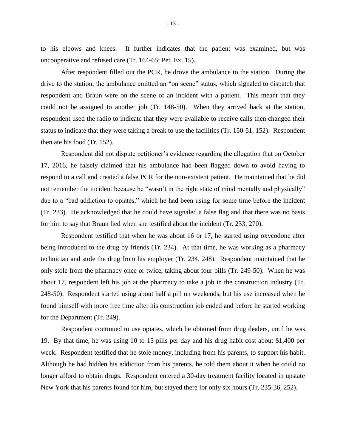to his elbows and knees. It further indicates that the patient was examined, but was uncooperative and refused care (Tr. 164-65; Pet. Ex. 15).

After respondent filled out the PCR, he drove the ambulance to the station. During the drive to the station, the ambulance emitted an "on scene" status, which signaled to dispatch that respondent and Braun were on the scene of an incident with a patient. This meant that they could not be assigned to another job (Tr. 148-50). When they arrived back at the station, respondent used the radio to indicate that they were available to receive calls then changed their status to indicate that they were taking a break to use the facilities (Tr. 150-51, 152). Respondent then ate his food (Tr. 152).

Respondent did not dispute petitioner's evidence regarding the allegation that on October 17, 2016, he falsely claimed that his ambulance had been flagged down to avoid having to respond to a call and created a false PCR for the non-existent patient. He maintained that he did not remember the incident because he "wasn't in the right state of mind mentally and physically" due to a "bad addiction to opiates," which he had been using for some time before the incident (Tr. 233). He acknowledged that he could have signaled a false flag and that there was no basis for him to say that Braun lied when she testified about the incident (Tr. 233, 270).

Respondent testified that when he was about 16 or 17, he started using oxycodone after being introduced to the drug by friends (Tr. 234). At that time, he was working as a pharmacy technician and stole the drug from his employer (Tr. 234, 248). Respondent maintained that he only stole from the pharmacy once or twice, taking about four pills (Tr. 249-50). When he was about 17, respondent left his job at the pharmacy to take a job in the construction industry (Tr. 248-50). Respondent started using about half a pill on weekends, but his use increased when he found himself with more free time after his construction job ended and before he started working for the Department (Tr. 249).

Respondent continued to use opiates, which he obtained from drug dealers, until he was 19. By that time, he was using 10 to 15 pills per day and his drug habit cost about \$1,400 per week. Respondent testified that he stole money, including from his parents, to support his habit. Although he had hidden his addiction from his parents, he told them about it when he could no longer afford to obtain drugs. Respondent entered a 30-day treatment facility located in upstate New York that his parents found for him, but stayed there for only six hours (Tr. 235-36, 252).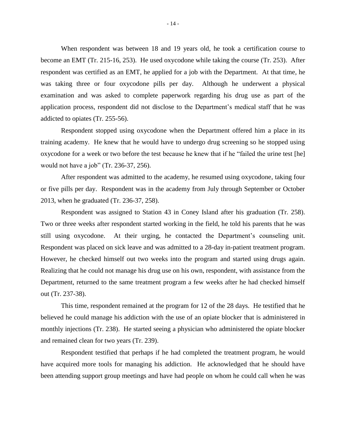When respondent was between 18 and 19 years old, he took a certification course to become an EMT (Tr. 215-16, 253). He used oxycodone while taking the course (Tr. 253). After respondent was certified as an EMT, he applied for a job with the Department. At that time, he was taking three or four oxycodone pills per day. Although he underwent a physical examination and was asked to complete paperwork regarding his drug use as part of the application process, respondent did not disclose to the Department's medical staff that he was addicted to opiates (Tr. 255-56).

Respondent stopped using oxycodone when the Department offered him a place in its training academy. He knew that he would have to undergo drug screening so he stopped using oxycodone for a week or two before the test because he knew that if he "failed the urine test [he] would not have a job" (Tr. 236-37, 256).

After respondent was admitted to the academy, he resumed using oxycodone, taking four or five pills per day. Respondent was in the academy from July through September or October 2013, when he graduated (Tr. 236-37, 258).

Respondent was assigned to Station 43 in Coney Island after his graduation (Tr. 258). Two or three weeks after respondent started working in the field, he told his parents that he was still using oxycodone. At their urging, he contacted the Department's counseling unit. Respondent was placed on sick leave and was admitted to a 28-day in-patient treatment program. However, he checked himself out two weeks into the program and started using drugs again. Realizing that he could not manage his drug use on his own, respondent, with assistance from the Department, returned to the same treatment program a few weeks after he had checked himself out (Tr. 237-38).

This time, respondent remained at the program for 12 of the 28 days. He testified that he believed he could manage his addiction with the use of an opiate blocker that is administered in monthly injections (Tr. 238). He started seeing a physician who administered the opiate blocker and remained clean for two years (Tr. 239).

Respondent testified that perhaps if he had completed the treatment program, he would have acquired more tools for managing his addiction. He acknowledged that he should have been attending support group meetings and have had people on whom he could call when he was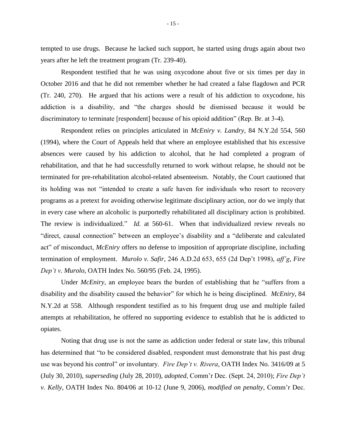tempted to use drugs. Because he lacked such support, he started using drugs again about two years after he left the treatment program (Tr. 239-40).

Respondent testified that he was using oxycodone about five or six times per day in October 2016 and that he did not remember whether he had created a false flagdown and PCR (Tr. 240, 270). He argued that his actions were a result of his addiction to oxycodone, his addiction is a disability, and "the charges should be dismissed because it would be discriminatory to terminate [respondent] because of his opioid addition" (Rep. Br. at 3-4).

Respondent relies on principles articulated in *McEniry v. Landry*, 84 N.Y.2d 554, 560 (1994), where the Court of Appeals held that where an employee established that his excessive absences were caused by his addiction to alcohol, that he had completed a program of rehabilitation, and that he had successfully returned to work without relapse, he should not be terminated for pre-rehabilitation alcohol-related absenteeism. Notably, the Court cautioned that its holding was not "intended to create a safe haven for individuals who resort to recovery programs as a pretext for avoiding otherwise legitimate disciplinary action, nor do we imply that in every case where an alcoholic is purportedly rehabilitated all disciplinary action is prohibited. The review is individualized." *Id.* at 560-61. When that individualized review reveals no "direct, causal connection" between an employee's disability and a "deliberate and calculated act" of misconduct, *McEniry* offers no defense to imposition of appropriate discipline, including termination of employment. *Murolo v. Safir*, 246 A.D.2d 653, 655 (2d Dep't 1998), *aff'g, Fire Dep't v. Murolo*, OATH Index No. 560/95 (Feb. 24, 1995).

Under *McEniry*, an employee bears the burden of establishing that he "suffers from a disability and the disability caused the behavior" for which he is being disciplined. *McEniry*, 84 N.Y.2d at 558. Although respondent testified as to his frequent drug use and multiple failed attempts at rehabilitation, he offered no supporting evidence to establish that he is addicted to opiates.

Noting that drug use is not the same as addiction under federal or state law, this tribunal has determined that "to be considered disabled, respondent must demonstrate that his past drug use was beyond his control" or involuntary. *Fire Dep't v. Rivera*, OATH Index No. 3416/09 at 5 (July 30, 2010), *superseding* (July 28, 2010), *adopted*, Comm'r Dec. (Sept. 24, 2010); *Fire Dep't v. Kelly*, OATH Index No. 804/06 at 10-12 (June 9, 2006), *modified on penalty*, Comm'r Dec.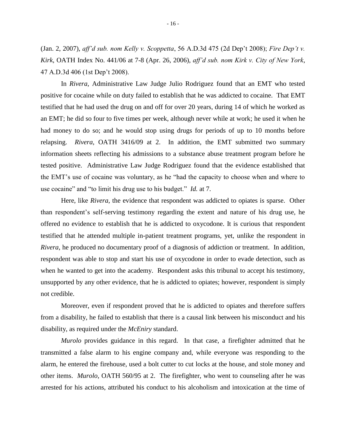(Jan. 2, 2007), *aff'd sub. nom Kelly v. Scoppetta*, 56 A.D.3d 475 (2d Dep't 2008); *Fire Dep't v. Kirk*, OATH Index No. 441/06 at 7-8 (Apr. 26, 2006), *aff'd sub. nom Kirk v. City of New York*, 47 A.D.3d 406 (1st Dep't 2008).

In *Rivera*, Administrative Law Judge Julio Rodriguez found that an EMT who tested positive for cocaine while on duty failed to establish that he was addicted to cocaine. That EMT testified that he had used the drug on and off for over 20 years, during 14 of which he worked as an EMT; he did so four to five times per week, although never while at work; he used it when he had money to do so; and he would stop using drugs for periods of up to 10 months before relapsing. *Rivera*, OATH 3416/09 at 2. In addition, the EMT submitted two summary information sheets reflecting his admissions to a substance abuse treatment program before he tested positive. Administrative Law Judge Rodriguez found that the evidence established that the EMT's use of cocaine was voluntary, as he "had the capacity to choose when and where to use cocaine" and "to limit his drug use to his budget." *Id.* at 7.

Here, like *Rivera*, the evidence that respondent was addicted to opiates is sparse. Other than respondent's self-serving testimony regarding the extent and nature of his drug use, he offered no evidence to establish that he is addicted to oxycodone. It is curious that respondent testified that he attended multiple in-patient treatment programs, yet, unlike the respondent in *Rivera*, he produced no documentary proof of a diagnosis of addiction or treatment. In addition, respondent was able to stop and start his use of oxycodone in order to evade detection, such as when he wanted to get into the academy. Respondent asks this tribunal to accept his testimony, unsupported by any other evidence, that he is addicted to opiates; however, respondent is simply not credible.

Moreover, even if respondent proved that he is addicted to opiates and therefore suffers from a disability, he failed to establish that there is a causal link between his misconduct and his disability, as required under the *McEniry* standard.

*Murolo* provides guidance in this regard. In that case, a firefighter admitted that he transmitted a false alarm to his engine company and, while everyone was responding to the alarm, he entered the firehouse, used a bolt cutter to cut locks at the house, and stole money and other items. *Murolo*, OATH 560/95 at 2. The firefighter, who went to counseling after he was arrested for his actions, attributed his conduct to his alcoholism and intoxication at the time of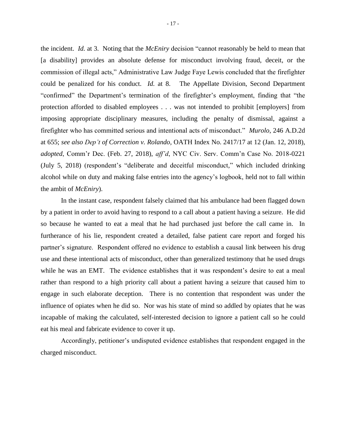the incident. *Id.* at 3. Noting that the *McEniry* decision "cannot reasonably be held to mean that [a disability] provides an absolute defense for misconduct involving fraud, deceit, or the commission of illegal acts," Administrative Law Judge Faye Lewis concluded that the firefighter could be penalized for his conduct. *Id.* at 8. The Appellate Division, Second Department "confirmed" the Department's termination of the firefighter's employment, finding that "the protection afforded to disabled employees . . . was not intended to prohibit [employers] from imposing appropriate disciplinary measures, including the penalty of dismissal, against a firefighter who has committed serious and intentional acts of misconduct." *Murolo*, 246 A.D.2d at 655; *see also Dep't of Correction v. Rolando,* OATH Index No. 2417/17 at 12 (Jan. 12, 2018), *adopted*, Comm'r Dec. (Feb. 27, 2018), *aff'd*, NYC Civ. Serv. Comm'n Case No. 2018-0221 (July 5, 2018) (respondent's "deliberate and deceitful misconduct," which included drinking alcohol while on duty and making false entries into the agency's logbook, held not to fall within the ambit of *McEniry*).

In the instant case, respondent falsely claimed that his ambulance had been flagged down by a patient in order to avoid having to respond to a call about a patient having a seizure. He did so because he wanted to eat a meal that he had purchased just before the call came in. In furtherance of his lie, respondent created a detailed, false patient care report and forged his partner's signature. Respondent offered no evidence to establish a causal link between his drug use and these intentional acts of misconduct, other than generalized testimony that he used drugs while he was an EMT. The evidence establishes that it was respondent's desire to eat a meal rather than respond to a high priority call about a patient having a seizure that caused him to engage in such elaborate deception. There is no contention that respondent was under the influence of opiates when he did so. Nor was his state of mind so addled by opiates that he was incapable of making the calculated, self-interested decision to ignore a patient call so he could eat his meal and fabricate evidence to cover it up.

Accordingly, petitioner's undisputed evidence establishes that respondent engaged in the charged misconduct.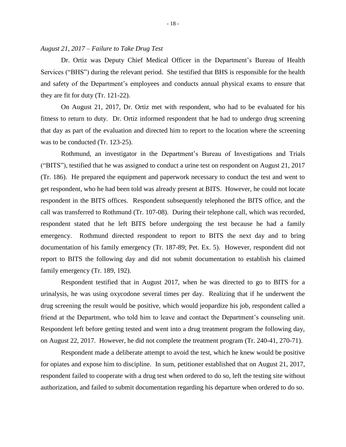#### *August 21, 2017 – Failure to Take Drug Test*

Dr. Ortiz was Deputy Chief Medical Officer in the Department's Bureau of Health Services ("BHS") during the relevant period. She testified that BHS is responsible for the health and safety of the Department's employees and conducts annual physical exams to ensure that they are fit for duty (Tr. 121-22).

On August 21, 2017, Dr. Ortiz met with respondent, who had to be evaluated for his fitness to return to duty. Dr. Ortiz informed respondent that he had to undergo drug screening that day as part of the evaluation and directed him to report to the location where the screening was to be conducted (Tr. 123-25).

Rothmund, an investigator in the Department's Bureau of Investigations and Trials ("BITS"), testified that he was assigned to conduct a urine test on respondent on August 21, 2017 (Tr. 186). He prepared the equipment and paperwork necessary to conduct the test and went to get respondent, who he had been told was already present at BITS. However, he could not locate respondent in the BITS offices. Respondent subsequently telephoned the BITS office, and the call was transferred to Rothmund (Tr. 107-08). During their telephone call, which was recorded, respondent stated that he left BITS before undergoing the test because he had a family emergency. Rothmund directed respondent to report to BITS the next day and to bring documentation of his family emergency (Tr. 187-89; Pet. Ex. 5). However, respondent did not report to BITS the following day and did not submit documentation to establish his claimed family emergency (Tr. 189, 192).

Respondent testified that in August 2017, when he was directed to go to BITS for a urinalysis, he was using oxycodone several times per day. Realizing that if he underwent the drug screening the result would be positive, which would jeopardize his job, respondent called a friend at the Department, who told him to leave and contact the Department's counseling unit. Respondent left before getting tested and went into a drug treatment program the following day, on August 22, 2017. However, he did not complete the treatment program (Tr. 240-41, 270-71).

Respondent made a deliberate attempt to avoid the test, which he knew would be positive for opiates and expose him to discipline. In sum, petitioner established that on August 21, 2017, respondent failed to cooperate with a drug test when ordered to do so, left the testing site without authorization, and failed to submit documentation regarding his departure when ordered to do so.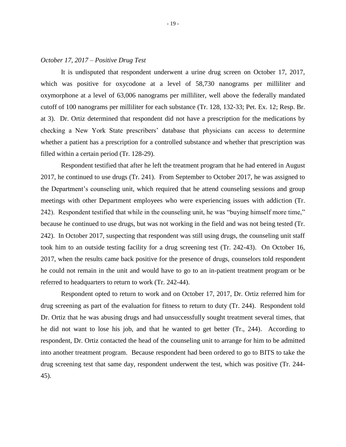#### *October 17, 2017 – Positive Drug Test*

It is undisputed that respondent underwent a urine drug screen on October 17, 2017, which was positive for oxycodone at a level of 58,730 nanograms per milliliter and oxymorphone at a level of 63,006 nanograms per milliliter, well above the federally mandated cutoff of 100 nanograms per milliliter for each substance (Tr. 128, 132-33; Pet. Ex. 12; Resp. Br. at 3). Dr. Ortiz determined that respondent did not have a prescription for the medications by checking a New York State prescribers' database that physicians can access to determine whether a patient has a prescription for a controlled substance and whether that prescription was filled within a certain period (Tr. 128-29).

Respondent testified that after he left the treatment program that he had entered in August 2017, he continued to use drugs (Tr. 241). From September to October 2017, he was assigned to the Department's counseling unit, which required that he attend counseling sessions and group meetings with other Department employees who were experiencing issues with addiction (Tr. 242). Respondent testified that while in the counseling unit, he was "buying himself more time," because he continued to use drugs, but was not working in the field and was not being tested (Tr. 242). In October 2017, suspecting that respondent was still using drugs, the counseling unit staff took him to an outside testing facility for a drug screening test (Tr. 242-43). On October 16, 2017, when the results came back positive for the presence of drugs, counselors told respondent he could not remain in the unit and would have to go to an in-patient treatment program or be referred to headquarters to return to work (Tr. 242-44).

Respondent opted to return to work and on October 17, 2017, Dr. Ortiz referred him for drug screening as part of the evaluation for fitness to return to duty (Tr. 244). Respondent told Dr. Ortiz that he was abusing drugs and had unsuccessfully sought treatment several times, that he did not want to lose his job, and that he wanted to get better (Tr., 244). According to respondent, Dr. Ortiz contacted the head of the counseling unit to arrange for him to be admitted into another treatment program. Because respondent had been ordered to go to BITS to take the drug screening test that same day, respondent underwent the test, which was positive (Tr. 244- 45).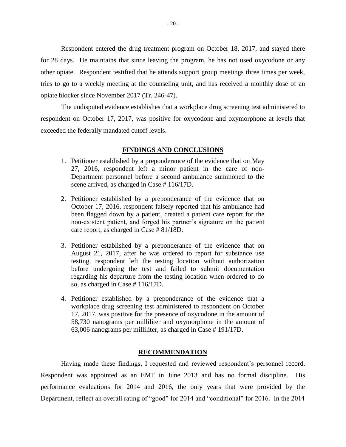Respondent entered the drug treatment program on October 18, 2017, and stayed there for 28 days. He maintains that since leaving the program, he has not used oxycodone or any other opiate. Respondent testified that he attends support group meetings three times per week, tries to go to a weekly meeting at the counseling unit, and has received a monthly dose of an opiate blocker since November 2017 (Tr. 246-47).

The undisputed evidence establishes that a workplace drug screening test administered to respondent on October 17, 2017, was positive for oxycodone and oxymorphone at levels that exceeded the federally mandated cutoff levels.

#### **FINDINGS AND CONCLUSIONS**

- 1. Petitioner established by a preponderance of the evidence that on May 27, 2016, respondent left a minor patient in the care of non-Department personnel before a second ambulance summoned to the scene arrived, as charged in Case # 116/17D.
- 2. Petitioner established by a preponderance of the evidence that on October 17, 2016, respondent falsely reported that his ambulance had been flagged down by a patient, created a patient care report for the non-existent patient, and forged his partner's signature on the patient care report, as charged in Case # 81/18D.
- 3. Petitioner established by a preponderance of the evidence that on August 21, 2017, after he was ordered to report for substance use testing, respondent left the testing location without authorization before undergoing the test and failed to submit documentation regarding his departure from the testing location when ordered to do so, as charged in Case # 116/17D.
- 4. Petitioner established by a preponderance of the evidence that a workplace drug screening test administered to respondent on October 17, 2017, was positive for the presence of oxycodone in the amount of 58,730 nanograms per milliliter and oxymorphone in the amount of 63,006 nanograms per milliliter, as charged in Case # 191/17D.

#### **RECOMMENDATION**

Having made these findings, I requested and reviewed respondent's personnel record. Respondent was appointed as an EMT in June 2013 and has no formal discipline. His performance evaluations for 2014 and 2016, the only years that were provided by the Department, reflect an overall rating of "good" for 2014 and "conditional" for 2016. In the 2014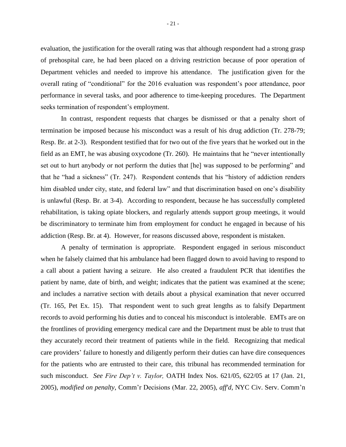evaluation, the justification for the overall rating was that although respondent had a strong grasp of prehospital care, he had been placed on a driving restriction because of poor operation of Department vehicles and needed to improve his attendance. The justification given for the overall rating of "conditional" for the 2016 evaluation was respondent's poor attendance, poor performance in several tasks, and poor adherence to time-keeping procedures. The Department seeks termination of respondent's employment.

In contrast, respondent requests that charges be dismissed or that a penalty short of termination be imposed because his misconduct was a result of his drug addiction (Tr. 278-79; Resp. Br. at 2-3). Respondent testified that for two out of the five years that he worked out in the field as an EMT, he was abusing oxycodone (Tr. 260). He maintains that he "never intentionally set out to hurt anybody or not perform the duties that [he] was supposed to be performing" and that he "had a sickness" (Tr. 247). Respondent contends that his "history of addiction renders him disabled under city, state, and federal law" and that discrimination based on one's disability is unlawful (Resp. Br. at 3-4). According to respondent, because he has successfully completed rehabilitation, is taking opiate blockers, and regularly attends support group meetings, it would be discriminatory to terminate him from employment for conduct he engaged in because of his addiction (Resp. Br. at 4). However, for reasons discussed above, respondent is mistaken.

A penalty of termination is appropriate. Respondent engaged in serious misconduct when he falsely claimed that his ambulance had been flagged down to avoid having to respond to a call about a patient having a seizure. He also created a fraudulent PCR that identifies the patient by name, date of birth, and weight; indicates that the patient was examined at the scene; and includes a narrative section with details about a physical examination that never occurred (Tr. 165, Pet Ex. 15). That respondent went to such great lengths as to falsify Department records to avoid performing his duties and to conceal his misconduct is intolerable. EMTs are on the frontlines of providing emergency medical care and the Department must be able to trust that they accurately record their treatment of patients while in the field. Recognizing that medical care providers' failure to honestly and diligently perform their duties can have dire consequences for the patients who are entrusted to their care, this tribunal has recommended termination for such misconduct. *See Fire Dep't v. Taylor,* OATH Index Nos. 621/05, 622/05 at 17 (Jan. 21, 2005), *modified on penalty*, Comm'r Decisions (Mar. 22, 2005), *aff'd*, NYC Civ. Serv. Comm'n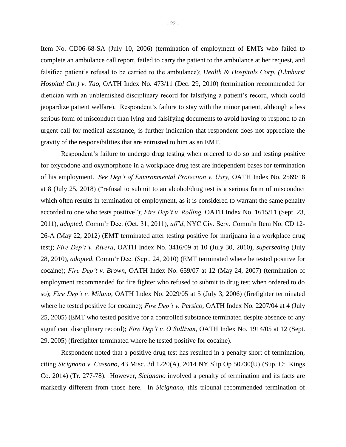Item No. CD06-68-SA (July 10, 2006) (termination of employment of EMTs who failed to complete an ambulance call report, failed to carry the patient to the ambulance at her request, and falsified patient's refusal to be carried to the ambulance); *Health & Hospitals Corp. (Elmhurst Hospital Ctr.) v. Yao,* OATH Index No. 473/11 (Dec. 29, 2010) (termination recommended for dietician with an unblemished disciplinary record for falsifying a patient's record, which could jeopardize patient welfare). Respondent's failure to stay with the minor patient, although a less serious form of misconduct than lying and falsifying documents to avoid having to respond to an urgent call for medical assistance, is further indication that respondent does not appreciate the gravity of the responsibilities that are entrusted to him as an EMT.

Respondent's failure to undergo drug testing when ordered to do so and testing positive for oxycodone and oxymorphone in a workplace drug test are independent bases for termination of his employment. *See Dep't of Environmental Protection v. Usry,* OATH Index No. 2569/18 at 8 (July 25, 2018) ("refusal to submit to an alcohol/drug test is a serious form of misconduct which often results in termination of employment, as it is considered to warrant the same penalty accorded to one who tests positive"); *Fire Dep't v. Rolling,* OATH Index No. 1615/11 (Sept. 23, 2011), *adopted*, Comm'r Dec. (Oct. 31, 2011), *aff'd*, NYC Civ. Serv. Comm'n Item No. CD 12- 26-A (May 22, 2012) (EMT terminated after testing positive for marijuana in a workplace drug test); *Fire Dep't v. Rivera*, OATH Index No. 3416/09 at 10 (July 30, 2010), *superseding* (July 28, 2010), *adopted*, Comm'r Dec. (Sept. 24, 2010) (EMT terminated where he tested positive for cocaine); *Fire Dep't v. Brown,* OATH Index No. 659/07 at 12 (May 24, 2007) (termination of employment recommended for fire fighter who refused to submit to drug test when ordered to do so); *Fire Dep't v. Milano*, OATH Index No. 2029/05 at 5 (July 3, 2006) (firefighter terminated where he tested positive for cocaine); *Fire Dep't v. Persico,* OATH Index No. 2207/04 at 4 (July 25, 2005) (EMT who tested positive for a controlled substance terminated despite absence of any significant disciplinary record); *Fire Dep't v. O'Sullivan*, OATH Index No. 1914/05 at 12 (Sept. 29, 2005) (firefighter terminated where he tested positive for cocaine).

Respondent noted that a positive drug test has resulted in a penalty short of termination, citing *Sicignano v. Cassano,* 43 Misc. 3d 1220(A), 2014 NY Slip Op 50730(U) (Sup. Ct. Kings Co. 2014) (Tr. 277-78). However, *Sicignano* involved a penalty of termination and its facts are markedly different from those here. In *Sicignano*, this tribunal recommended termination of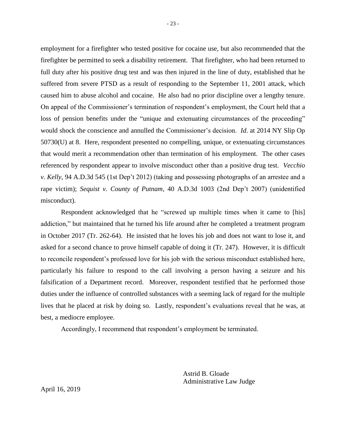employment for a firefighter who tested positive for cocaine use, but also recommended that the firefighter be permitted to seek a disability retirement. That firefighter, who had been returned to full duty after his positive drug test and was then injured in the line of duty, established that he suffered from severe PTSD as a result of responding to the September 11, 2001 attack, which caused him to abuse alcohol and cocaine. He also had no prior discipline over a lengthy tenure. On appeal of the Commissioner's termination of respondent's employment, the Court held that a loss of pension benefits under the "unique and extenuating circumstances of the proceeding" would shock the conscience and annulled the Commissioner's decision. *Id*. at 2014 NY Slip Op 50730(U) at 8. Here, respondent presented no compelling, unique, or extenuating circumstances that would merit a recommendation other than termination of his employment. The other cases referenced by respondent appear to involve misconduct other than a positive drug test. *[Vecchio](https://advance.lexis.com/api/document/collection/cases/id/55F1-YV01-F04J-7081-00000-00?cite=94%20A.D.3d%20545&context=1000516)  v. Kelly*, 94 [A.D.3d 545](https://advance.lexis.com/api/document/collection/cases/id/55F1-YV01-F04J-7081-00000-00?cite=94%20A.D.3d%20545&context=1000516) (1st Dep't 2012) (taking and possessing photographs of an arrestee and a rape victim); *[Sequist v. County of Putnam](https://advance.lexis.com/api/document/collection/cases/id/4NTJ-9D70-TXFV-T2C0-00000-00?cite=40%20A.D.3d%201003&context=1000516)*, 40 A.D.3d 1003 (2nd Dep't 2007) (unidentified misconduct).

Respondent acknowledged that he "screwed up multiple times when it came to [his] addiction," but maintained that he turned his life around after he completed a treatment program in October 2017 (Tr. 262-64). He insisted that he loves his job and does not want to lose it, and asked for a second chance to prove himself capable of doing it (Tr. 247). However, it is difficult to reconcile respondent's professed love for his job with the serious misconduct established here, particularly his failure to respond to the call involving a person having a seizure and his falsification of a Department record. Moreover, respondent testified that he performed those duties under the influence of controlled substances with a seeming lack of regard for the multiple lives that he placed at risk by doing so. Lastly, respondent's evaluations reveal that he was, at best, a mediocre employee.

Accordingly, I recommend that respondent's employment be terminated.

Astrid B. Gloade Administrative Law Judge

April 16, 2019